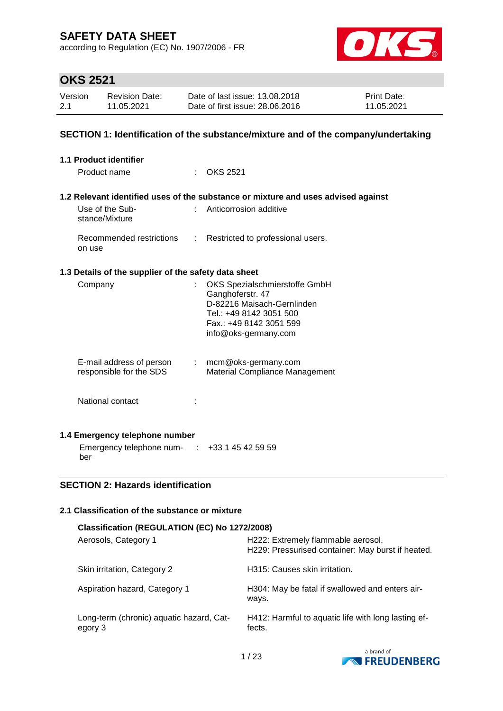according to Regulation (EC) No. 1907/2006 - FR



# **OKS 2521**

| Version | Revision Date: | Date of last issue: 13,08,2018  | <b>Print Date:</b> |
|---------|----------------|---------------------------------|--------------------|
| 2.1     | 11.05.2021     | Date of first issue: 28,06,2016 | 11.05.2021         |

#### **SECTION 1: Identification of the substance/mixture and of the company/undertaking**

| 1.1 Product identifier                               |                                                                                                                                                               |
|------------------------------------------------------|---------------------------------------------------------------------------------------------------------------------------------------------------------------|
| Product name                                         | $\therefore$ OKS 2521                                                                                                                                         |
| Use of the Sub-<br>stance/Mixture                    | 1.2 Relevant identified uses of the substance or mixture and uses advised against<br>Anticorrosion additive                                                   |
| Recommended restrictions<br>on use                   | : Restricted to professional users.                                                                                                                           |
| 1.3 Details of the supplier of the safety data sheet |                                                                                                                                                               |
| Company                                              | OKS Spezialschmierstoffe GmbH<br>Ganghoferstr. 47<br>D-82216 Maisach-Gernlinden<br>Tel.: +49 8142 3051 500<br>Fax.: +49 8142 3051 599<br>info@oks-germany.com |
| E-mail address of person<br>responsible for the SDS  | : mcm@oks-germany.com<br><b>Material Compliance Management</b>                                                                                                |
| National contact                                     |                                                                                                                                                               |
| 1.4 Emergency telephone number                       |                                                                                                                                                               |
| Emergency telephone num- $\cdot$ +33 1 45 42 59 59   |                                                                                                                                                               |

ber

### **SECTION 2: Hazards identification**

### **2.1 Classification of the substance or mixture**

| Classification (REGULATION (EC) No 1272/2008)       |                                                                                         |  |  |  |  |
|-----------------------------------------------------|-----------------------------------------------------------------------------------------|--|--|--|--|
| Aerosols, Category 1                                | H222: Extremely flammable aerosol.<br>H229: Pressurised container: May burst if heated. |  |  |  |  |
| Skin irritation, Category 2                         | H315: Causes skin irritation.                                                           |  |  |  |  |
| Aspiration hazard, Category 1                       | H304: May be fatal if swallowed and enters air-<br>ways.                                |  |  |  |  |
| Long-term (chronic) aquatic hazard, Cat-<br>egory 3 | H412: Harmful to aquatic life with long lasting ef-<br>fects.                           |  |  |  |  |

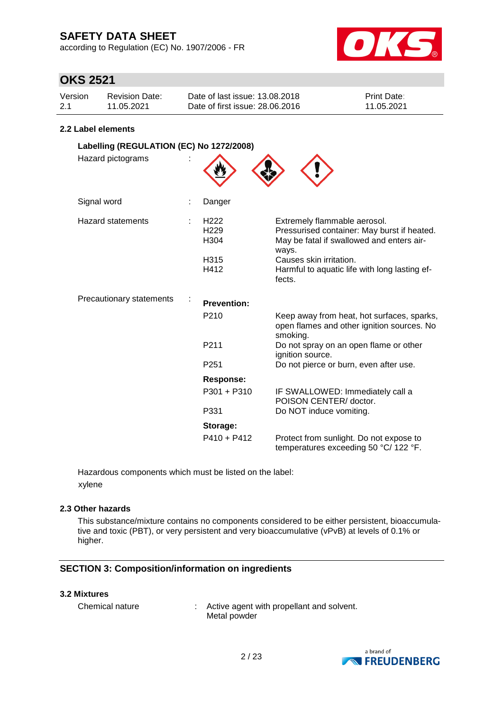according to Regulation (EC) No. 1907/2006 - FR



### **OKS 2521**

| Version | Revision Date: | Date of last issue: 13.08.2018  | <b>Print Date:</b> |
|---------|----------------|---------------------------------|--------------------|
| 2.1     | 11.05.2021     | Date of first issue: 28,06,2016 | 11.05.2021         |

#### **2.2 Label elements**

| Labelling (REGULATION (EC) No 1272/2008) |                                                                          |                                                                                                                                                                                                                         |
|------------------------------------------|--------------------------------------------------------------------------|-------------------------------------------------------------------------------------------------------------------------------------------------------------------------------------------------------------------------|
| Hazard pictograms                        |                                                                          |                                                                                                                                                                                                                         |
| Signal word                              | Danger                                                                   |                                                                                                                                                                                                                         |
| <b>Hazard statements</b>                 | H <sub>222</sub><br>H <sub>229</sub><br>H <sub>304</sub><br>H315<br>H412 | Extremely flammable aerosol.<br>Pressurised container: May burst if heated.<br>May be fatal if swallowed and enters air-<br>ways.<br>Causes skin irritation.<br>Harmful to aquatic life with long lasting ef-<br>fects. |
| Precautionary statements                 | <b>Prevention:</b>                                                       |                                                                                                                                                                                                                         |
|                                          | P210                                                                     | Keep away from heat, hot surfaces, sparks,<br>open flames and other ignition sources. No<br>smoking.                                                                                                                    |
|                                          | P <sub>211</sub>                                                         | Do not spray on an open flame or other<br>ignition source.                                                                                                                                                              |
|                                          | P <sub>251</sub>                                                         | Do not pierce or burn, even after use.                                                                                                                                                                                  |
|                                          | <b>Response:</b>                                                         |                                                                                                                                                                                                                         |
|                                          | $P301 + P310$                                                            | IF SWALLOWED: Immediately call a<br>POISON CENTER/ doctor.                                                                                                                                                              |
|                                          | P331                                                                     | Do NOT induce vomiting.                                                                                                                                                                                                 |
|                                          | Storage:                                                                 |                                                                                                                                                                                                                         |
|                                          | $P410 + P412$                                                            | Protect from sunlight. Do not expose to<br>temperatures exceeding 50 °C/ 122 °F.                                                                                                                                        |

Hazardous components which must be listed on the label: xylene

#### **2.3 Other hazards**

This substance/mixture contains no components considered to be either persistent, bioaccumulative and toxic (PBT), or very persistent and very bioaccumulative (vPvB) at levels of 0.1% or higher.

### **SECTION 3: Composition/information on ingredients**

#### **3.2 Mixtures**

| Chemical nature | Active agent with propellant and solvent. |
|-----------------|-------------------------------------------|
|                 | Metal powder                              |

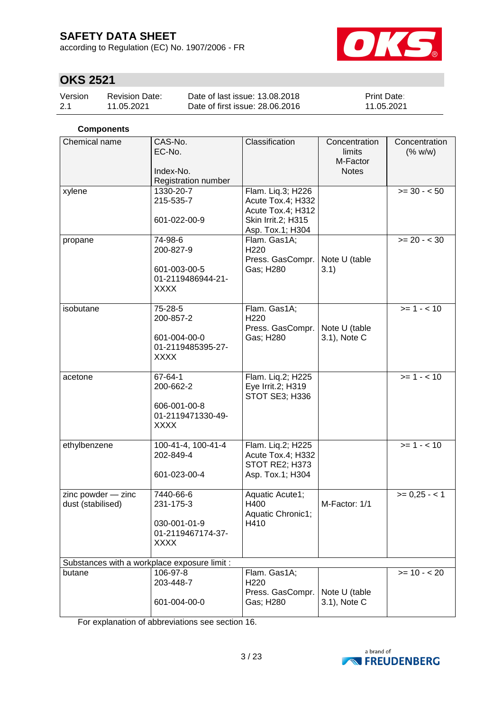according to Regulation (EC) No. 1907/2006 - FR



# **OKS 2521**

| Version | <b>Revision Date:</b> | Date of last issue: 13.08.2018  | <b>Print Date:</b> |
|---------|-----------------------|---------------------------------|--------------------|
| 2.1     | 11.05.2021            | Date of first issue: 28,06,2016 | 11.05.2021         |

### **Components**

| Chemical name      | CAS-No.<br>EC-No.<br>Index-No.<br>Registration number | Classification                         | Concentration<br>limits<br>M-Factor<br><b>Notes</b> | Concentration<br>(% w/w) |  |  |  |  |
|--------------------|-------------------------------------------------------|----------------------------------------|-----------------------------------------------------|--------------------------|--|--|--|--|
| xylene             | 1330-20-7                                             | Flam. Liq.3; H226                      |                                                     | $>= 30 - 50$             |  |  |  |  |
|                    | 215-535-7                                             | Acute Tox.4; H332<br>Acute Tox.4; H312 |                                                     |                          |  |  |  |  |
|                    | 601-022-00-9                                          | Skin Irrit.2; H315<br>Asp. Tox.1; H304 |                                                     |                          |  |  |  |  |
| propane            | 74-98-6<br>200-827-9                                  | Flam. Gas1A;<br>H220                   |                                                     | $>= 20 - < 30$           |  |  |  |  |
|                    |                                                       | Press. GasCompr.                       | Note U (table                                       |                          |  |  |  |  |
|                    | 601-003-00-5                                          | Gas; H280                              | 3.1)                                                |                          |  |  |  |  |
|                    | 01-2119486944-21-<br><b>XXXX</b>                      |                                        |                                                     |                          |  |  |  |  |
|                    |                                                       |                                        |                                                     |                          |  |  |  |  |
| isobutane          | 75-28-5                                               | Flam. Gas1A;                           |                                                     | $>= 1 - 10$              |  |  |  |  |
|                    | 200-857-2                                             | H <sub>220</sub>                       | Note U (table                                       |                          |  |  |  |  |
|                    | 601-004-00-0                                          | Press. GasCompr.<br>Gas; H280          | 3.1), Note C                                        |                          |  |  |  |  |
|                    | 01-2119485395-27-                                     |                                        |                                                     |                          |  |  |  |  |
|                    | <b>XXXX</b>                                           |                                        |                                                     |                          |  |  |  |  |
| acetone            | 67-64-1                                               | Flam. Liq.2; H225                      |                                                     | $>= 1 - 10$              |  |  |  |  |
|                    | 200-662-2                                             | Eye Irrit.2; H319                      |                                                     |                          |  |  |  |  |
|                    | 606-001-00-8                                          | STOT SE3; H336                         |                                                     |                          |  |  |  |  |
|                    | 01-2119471330-49-                                     |                                        |                                                     |                          |  |  |  |  |
|                    | <b>XXXX</b>                                           |                                        |                                                     |                          |  |  |  |  |
| ethylbenzene       | 100-41-4, 100-41-4                                    | Flam. Liq.2; H225                      |                                                     | $>= 1 - 10$              |  |  |  |  |
|                    | 202-849-4                                             | Acute Tox.4; H332                      |                                                     |                          |  |  |  |  |
|                    | 601-023-00-4                                          | STOT RE2; H373<br>Asp. Tox.1; H304     |                                                     |                          |  |  |  |  |
|                    |                                                       |                                        |                                                     |                          |  |  |  |  |
| zinc powder - zinc | 7440-66-6                                             | Aquatic Acute1;                        |                                                     | $>= 0,25 - 1$            |  |  |  |  |
| dust (stabilised)  | 231-175-3                                             | H400<br>Aquatic Chronic1;              | M-Factor: 1/1                                       |                          |  |  |  |  |
|                    | 030-001-01-9                                          | H410                                   |                                                     |                          |  |  |  |  |
|                    | 01-2119467174-37-                                     |                                        |                                                     |                          |  |  |  |  |
|                    | <b>XXXX</b>                                           |                                        |                                                     |                          |  |  |  |  |
|                    | Substances with a workplace exposure limit :          |                                        |                                                     |                          |  |  |  |  |
| butane             | 106-97-8                                              | Flam. Gas1A;                           |                                                     | $>= 10 - 20$             |  |  |  |  |
|                    | 203-448-7                                             | H <sub>220</sub>                       |                                                     |                          |  |  |  |  |
|                    |                                                       | Press. GasCompr.                       | Note U (table                                       |                          |  |  |  |  |
|                    | 601-004-00-0                                          | Gas; H280                              | 3.1), Note C                                        |                          |  |  |  |  |

For explanation of abbreviations see section 16.

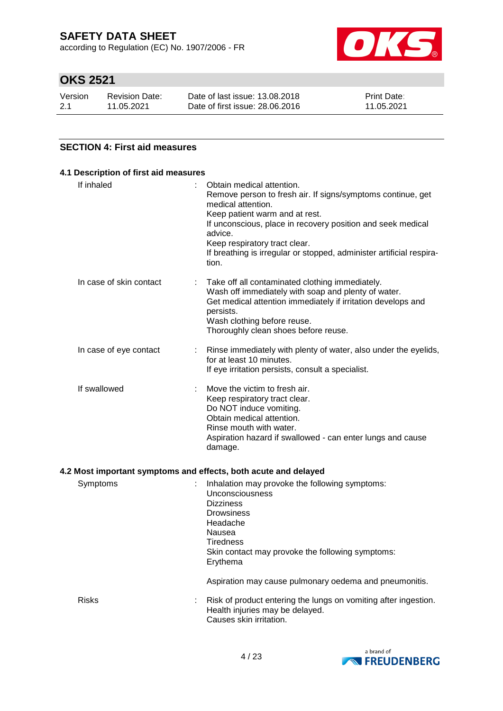according to Regulation (EC) No. 1907/2006 - FR



# **OKS 2521**

| Version | <b>Revision Date:</b> | Date of last issue: 13.08.2018  | <b>Print Date:</b> |
|---------|-----------------------|---------------------------------|--------------------|
| 2.1     | 11.05.2021            | Date of first issue: 28,06,2016 | 11.05.2021         |

#### **SECTION 4: First aid measures**

| If inhaled              | Obtain medical attention.                                                                   |
|-------------------------|---------------------------------------------------------------------------------------------|
|                         | Remove person to fresh air. If signs/symptoms continue, get<br>medical attention.           |
|                         | Keep patient warm and at rest.                                                              |
|                         | If unconscious, place in recovery position and seek medical<br>advice.                      |
|                         | Keep respiratory tract clear.                                                               |
|                         | If breathing is irregular or stopped, administer artificial respira-<br>tion.               |
| In case of skin contact | Take off all contaminated clothing immediately.                                             |
|                         | Wash off immediately with soap and plenty of water.                                         |
|                         | Get medical attention immediately if irritation develops and<br>persists.                   |
|                         | Wash clothing before reuse.                                                                 |
|                         | Thoroughly clean shoes before reuse.                                                        |
| In case of eye contact  | Rinse immediately with plenty of water, also under the eyelids,<br>for at least 10 minutes. |
|                         | If eye irritation persists, consult a specialist.                                           |
| If swallowed            | Move the victim to fresh air.                                                               |
|                         | Keep respiratory tract clear.                                                               |
|                         | Do NOT induce vomiting.                                                                     |
|                         | Obtain medical attention.<br>Rinse mouth with water.                                        |
|                         | Aspiration hazard if swallowed - can enter lungs and cause                                  |
|                         | damage.                                                                                     |

### **4.2 Most important symptoms and effects, both acute and delayed**

| Symptoms     | Inhalation may provoke the following symptoms:<br>Unconsciousness<br><b>Dizziness</b><br><b>Drowsiness</b><br>Headache<br>Nausea<br><b>Tiredness</b><br>Skin contact may provoke the following symptoms:<br>Erythema |
|--------------|----------------------------------------------------------------------------------------------------------------------------------------------------------------------------------------------------------------------|
|              | Aspiration may cause pulmonary oedema and pneumonitis.                                                                                                                                                               |
| <b>Risks</b> | Risk of product entering the lungs on vomiting after ingestion.<br>Health injuries may be delayed.<br>Causes skin irritation.                                                                                        |

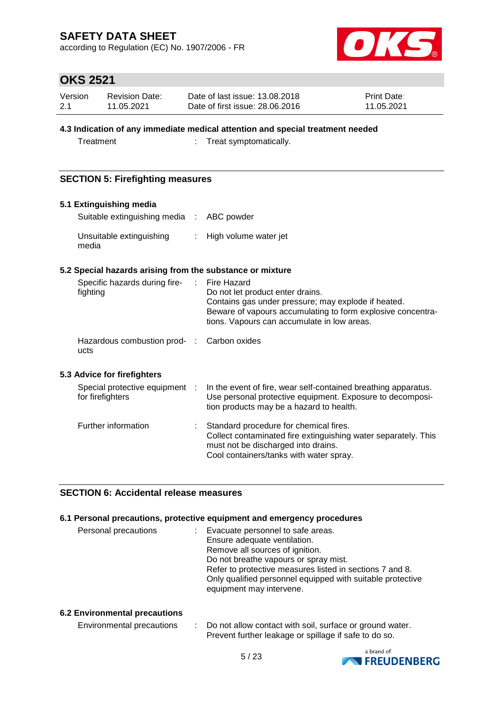according to Regulation (EC) No. 1907/2006 - FR



### **OKS 2521**

| Version | Revision Date: | Date of last issue: 13.08.2018  | <b>Print Date:</b> |
|---------|----------------|---------------------------------|--------------------|
| 2.1     | 11.05.2021     | Date of first issue: 28,06,2016 | 11.05.2021         |

### **4.3 Indication of any immediate medical attention and special treatment needed**

Treatment : Treat symptomatically.

### **SECTION 5: Firefighting measures**

#### **5.1 Extinguishing media**

| Suitable extinguishing media : ABC powder |                         |
|-------------------------------------------|-------------------------|
| Unsuitable extinguishing<br>media         | : High volume water jet |

#### **5.2 Special hazards arising from the substance or mixture**

| Specific hazards during fire-<br>fighting  | $\sim$ 100 $\sim$ | Fire Hazard<br>Do not let product enter drains.                                                       |
|--------------------------------------------|-------------------|-------------------------------------------------------------------------------------------------------|
|                                            |                   | Contains gas under pressure; may explode if heated.                                                   |
|                                            |                   | Beware of vapours accumulating to form explosive concentra-                                           |
|                                            |                   | tions. Vapours can accumulate in low areas.                                                           |
| Hazardous combustion prod- : Carbon oxides |                   |                                                                                                       |
| ucts                                       |                   |                                                                                                       |
| 5.3 Advice for firefighters                |                   |                                                                                                       |
| Special protective equipment :             |                   | In the event of fire, wear self-contained breathing apparatus.                                        |
| for firefighters                           |                   | Use personal protective equipment. Exposure to decomposi-<br>tion products may be a hazard to health. |
| Further information                        |                   | Standard procedure for chemical fires.                                                                |
|                                            |                   | Collect contaminated fire extinguishing water separately. This                                        |
|                                            |                   | must not be discharged into drains.                                                                   |
|                                            |                   | Cool containers/tanks with water spray.                                                               |

### **SECTION 6: Accidental release measures**

#### **6.1 Personal precautions, protective equipment and emergency procedures**

| Personal precautions | : Evacuate personnel to safe areas.                        |
|----------------------|------------------------------------------------------------|
|                      | Ensure adequate ventilation.                               |
|                      | Remove all sources of ignition.                            |
|                      | Do not breathe vapours or spray mist.                      |
|                      | Refer to protective measures listed in sections 7 and 8.   |
|                      | Only qualified personnel equipped with suitable protective |
|                      | equipment may intervene.                                   |

#### **6.2 Environmental precautions**

| Environmental precautions | Do not allow contact with soil, surface or ground water. |
|---------------------------|----------------------------------------------------------|
|                           | Prevent further leakage or spillage if safe to do so.    |

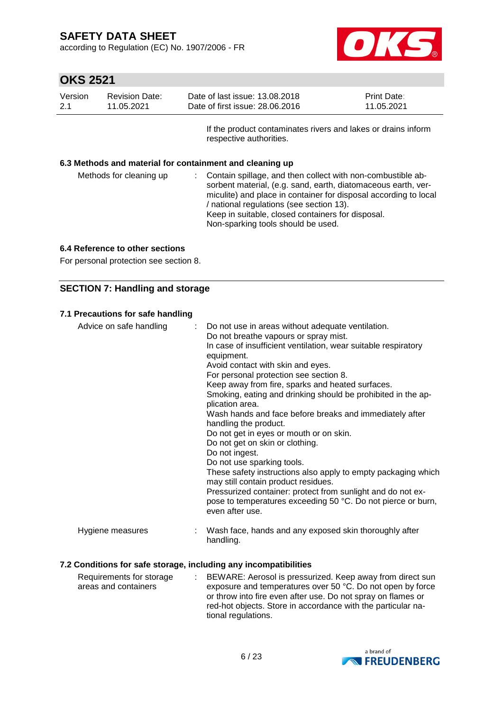according to Regulation (EC) No. 1907/2006 - FR



# **OKS 2521**

| Version<br>2.1 | <b>Revision Date:</b><br>11.05.2021 |                                                                                          | Date of last issue: 13.08.2018<br>Date of first issue: 28,06,2016                                                       | Print Date:<br>11.05.2021 |
|----------------|-------------------------------------|------------------------------------------------------------------------------------------|-------------------------------------------------------------------------------------------------------------------------|---------------------------|
|                |                                     | If the product contaminates rivers and lakes or drains inform<br>respective authorities. |                                                                                                                         |                           |
|                | Methods for cleaning up             |                                                                                          | 6.3 Methods and material for containment and cleaning up<br>Contain spillage, and then collect with non-combustible ab- |                           |

sorbent material, (e.g. sand, earth, diatomaceous earth, vermiculite) and place in container for disposal according to local / national regulations (see section 13). Keep in suitable, closed containers for disposal. Non-sparking tools should be used.

#### **6.4 Reference to other sections**

For personal protection see section 8.

### **SECTION 7: Handling and storage**

#### **7.1 Precautions for safe handling**

| Advice on safe handling | : Do not use in areas without adequate ventilation.<br>Do not breathe vapours or spray mist.<br>In case of insufficient ventilation, wear suitable respiratory<br>equipment.<br>Avoid contact with skin and eyes.<br>For personal protection see section 8.<br>Keep away from fire, sparks and heated surfaces.<br>Smoking, eating and drinking should be prohibited in the ap-<br>plication area.<br>Wash hands and face before breaks and immediately after<br>handling the product.<br>Do not get in eyes or mouth or on skin.<br>Do not get on skin or clothing.<br>Do not ingest.<br>Do not use sparking tools.<br>These safety instructions also apply to empty packaging which<br>may still contain product residues.<br>Pressurized container: protect from sunlight and do not ex-<br>pose to temperatures exceeding 50 °C. Do not pierce or burn,<br>even after use. |
|-------------------------|--------------------------------------------------------------------------------------------------------------------------------------------------------------------------------------------------------------------------------------------------------------------------------------------------------------------------------------------------------------------------------------------------------------------------------------------------------------------------------------------------------------------------------------------------------------------------------------------------------------------------------------------------------------------------------------------------------------------------------------------------------------------------------------------------------------------------------------------------------------------------------|
| Hygiene measures        | Wash face, hands and any exposed skin thoroughly after<br>handling.                                                                                                                                                                                                                                                                                                                                                                                                                                                                                                                                                                                                                                                                                                                                                                                                            |

#### **7.2 Conditions for safe storage, including any incompatibilities**

| Requirements for storage | BEWARE: Aerosol is pressurized. Keep away from direct sun    |
|--------------------------|--------------------------------------------------------------|
| areas and containers     | exposure and temperatures over 50 °C. Do not open by force   |
|                          | or throw into fire even after use. Do not spray on flames or |
|                          | red-hot objects. Store in accordance with the particular na- |
|                          | tional regulations.                                          |

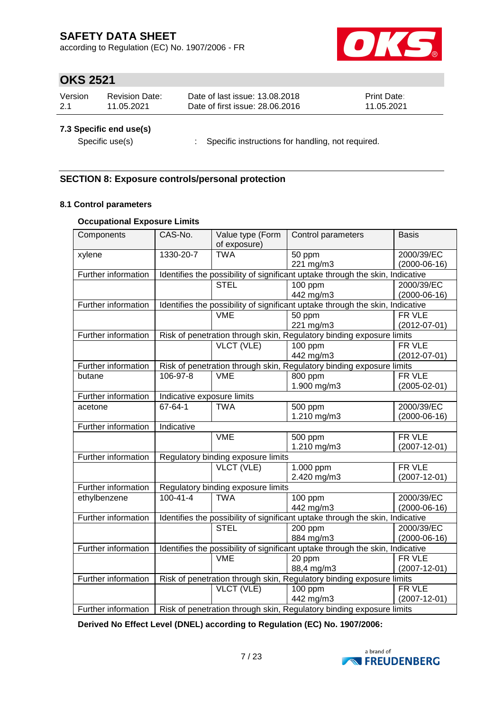according to Regulation (EC) No. 1907/2006 - FR



# **OKS 2521**

| Version | Revision Date: | Date of last issue: 13.08.2018  | <b>Print Date:</b> |
|---------|----------------|---------------------------------|--------------------|
| 2.1     | 11.05.2021     | Date of first issue: 28,06,2016 | 11.05.2021         |

### **7.3 Specific end use(s)**

Specific use(s) : Specific instructions for handling, not required.

### **SECTION 8: Exposure controls/personal protection**

#### **8.1 Control parameters**

#### **Occupational Exposure Limits**

| Components                 | CAS-No.                    | Value type (Form                                                              | Control parameters                                                            | <b>Basis</b>       |  |
|----------------------------|----------------------------|-------------------------------------------------------------------------------|-------------------------------------------------------------------------------|--------------------|--|
|                            |                            | of exposure)                                                                  |                                                                               |                    |  |
| xylene                     | 1330-20-7                  | <b>TWA</b>                                                                    | 50 ppm                                                                        | 2000/39/EC         |  |
|                            |                            |                                                                               | 221 mg/m3                                                                     | $(2000-06-16)$     |  |
| Further information        |                            | Identifies the possibility of significant uptake through the skin, Indicative |                                                                               |                    |  |
|                            |                            | <b>STEL</b>                                                                   | 100 ppm                                                                       | 2000/39/EC         |  |
|                            |                            |                                                                               | 442 mg/m3                                                                     | $(2000-06-16)$     |  |
| Further information        |                            | Identifies the possibility of significant uptake through the skin, Indicative |                                                                               |                    |  |
|                            |                            | <b>VME</b>                                                                    | 50 ppm                                                                        | FR VLE             |  |
|                            |                            |                                                                               | 221 mg/m3                                                                     | $(2012 - 07 - 01)$ |  |
| Further information        |                            |                                                                               | Risk of penetration through skin, Regulatory binding exposure limits          |                    |  |
|                            |                            | VLCT (VLE)                                                                    | 100 ppm                                                                       | FR VLE             |  |
|                            |                            |                                                                               | 442 mg/m3                                                                     | $(2012 - 07 - 01)$ |  |
| Further information        |                            |                                                                               | Risk of penetration through skin, Regulatory binding exposure limits          |                    |  |
| butane                     | 106-97-8                   | <b>VME</b>                                                                    | $\overline{800}$ ppm                                                          | FR VLE             |  |
|                            |                            |                                                                               | 1.900 mg/m3                                                                   | $(2005 - 02 - 01)$ |  |
| Further information        | Indicative exposure limits |                                                                               |                                                                               |                    |  |
| acetone                    | 67-64-1                    | <b>TWA</b>                                                                    | 500 ppm                                                                       | 2000/39/EC         |  |
|                            |                            |                                                                               | 1.210 mg/m3                                                                   | $(2000-06-16)$     |  |
| Further information        | <b>Indicative</b>          |                                                                               |                                                                               |                    |  |
|                            |                            | <b>VME</b>                                                                    | 500 ppm                                                                       | FR VLE             |  |
|                            |                            |                                                                               | 1.210 mg/m3                                                                   | $(2007 - 12 - 01)$ |  |
| Further information        |                            | Regulatory binding exposure limits                                            |                                                                               |                    |  |
|                            |                            | VLCT (VLE)                                                                    | 1.000 ppm                                                                     | FR VLE             |  |
|                            |                            |                                                                               | 2.420 mg/m3                                                                   | $(2007 - 12 - 01)$ |  |
| <b>Further information</b> |                            | Regulatory binding exposure limits                                            |                                                                               |                    |  |
| ethylbenzene               | $100 - 41 - 4$             | <b>TWA</b>                                                                    | 100 ppm                                                                       | 2000/39/EC         |  |
|                            |                            |                                                                               | 442 mg/m3                                                                     | $(2000-06-16)$     |  |
| Further information        |                            |                                                                               | Identifies the possibility of significant uptake through the skin, Indicative |                    |  |
|                            |                            | <b>STEL</b>                                                                   | 200 ppm                                                                       | 2000/39/EC         |  |
|                            |                            |                                                                               | 884 mg/m3                                                                     | $(2000-06-16)$     |  |
| Further information        |                            |                                                                               | Identifies the possibility of significant uptake through the skin, Indicative |                    |  |
|                            |                            | <b>VME</b>                                                                    | 20 ppm                                                                        | FR VLE             |  |
|                            |                            |                                                                               | 88,4 mg/m3                                                                    | $(2007 - 12 - 01)$ |  |
| Further information        |                            |                                                                               | Risk of penetration through skin, Regulatory binding exposure limits          |                    |  |
|                            |                            | VLCT (VLE)                                                                    | 100 ppm                                                                       | FR VLE             |  |
|                            |                            |                                                                               | 442 mg/m3                                                                     | $(2007 - 12 - 01)$ |  |
| Further information        |                            |                                                                               | Risk of penetration through skin, Regulatory binding exposure limits          |                    |  |

**Derived No Effect Level (DNEL) according to Regulation (EC) No. 1907/2006:**

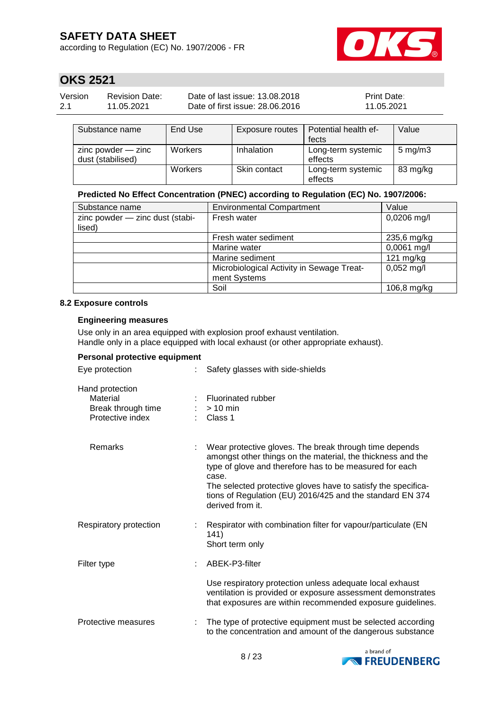according to Regulation (EC) No. 1907/2006 - FR



# **OKS 2521**

| Version | Revision Date: | Date of last issue: 13.08.2018  | <b>Print Date:</b> |
|---------|----------------|---------------------------------|--------------------|
| 2.1     | 11.05.2021     | Date of first issue: 28,06,2016 | 11.05.2021         |

| Substance name                              | End Use | Exposure routes | Potential health ef-<br>fects | Value            |
|---------------------------------------------|---------|-----------------|-------------------------------|------------------|
| $zinc$ powder $-$ zinc<br>dust (stabilised) | Workers | Inhalation      | Long-term systemic<br>effects | $5 \text{ mg/m}$ |
|                                             | Workers | Skin contact    | Long-term systemic<br>effects | 83 mg/kg         |

#### **Predicted No Effect Concentration (PNEC) according to Regulation (EC) No. 1907/2006:**

| Substance name                  | <b>Environmental Compartment</b>          | Value         |
|---------------------------------|-------------------------------------------|---------------|
| zinc powder - zinc dust (stabi- | Fresh water                               | $0,0206$ mg/l |
| lised)                          |                                           |               |
|                                 | Fresh water sediment                      | 235,6 mg/kg   |
|                                 | Marine water                              | 0,0061 mg/l   |
|                                 | Marine sediment                           | $121$ mg/kg   |
|                                 | Microbiological Activity in Sewage Treat- | $0,052$ mg/l  |
|                                 | ment Systems                              |               |
|                                 | Soil                                      | 106,8 mg/kg   |

#### **8.2 Exposure controls**

#### **Engineering measures**

Use only in an area equipped with explosion proof exhaust ventilation. Handle only in a place equipped with local exhaust (or other appropriate exhaust).

#### **Personal protective equipment**

| Eye protection                                                        | Safety glasses with side-shields                                                                                                                                                                                                                                                                                                            |
|-----------------------------------------------------------------------|---------------------------------------------------------------------------------------------------------------------------------------------------------------------------------------------------------------------------------------------------------------------------------------------------------------------------------------------|
| Hand protection<br>Material<br>Break through time<br>Protective index | : Fluorinated rubber<br>$> 10$ min<br>Class 1                                                                                                                                                                                                                                                                                               |
| Remarks                                                               | Wear protective gloves. The break through time depends<br>amongst other things on the material, the thickness and the<br>type of glove and therefore has to be measured for each<br>case.<br>The selected protective gloves have to satisfy the specifica-<br>tions of Regulation (EU) 2016/425 and the standard EN 374<br>derived from it. |
| Respiratory protection                                                | Respirator with combination filter for vapour/particulate (EN<br>141)<br>Short term only                                                                                                                                                                                                                                                    |
| Filter type                                                           | ABEK-P3-filter                                                                                                                                                                                                                                                                                                                              |
|                                                                       | Use respiratory protection unless adequate local exhaust<br>ventilation is provided or exposure assessment demonstrates<br>that exposures are within recommended exposure guidelines.                                                                                                                                                       |
| Protective measures                                                   | The type of protective equipment must be selected according<br>to the concentration and amount of the dangerous substance                                                                                                                                                                                                                   |

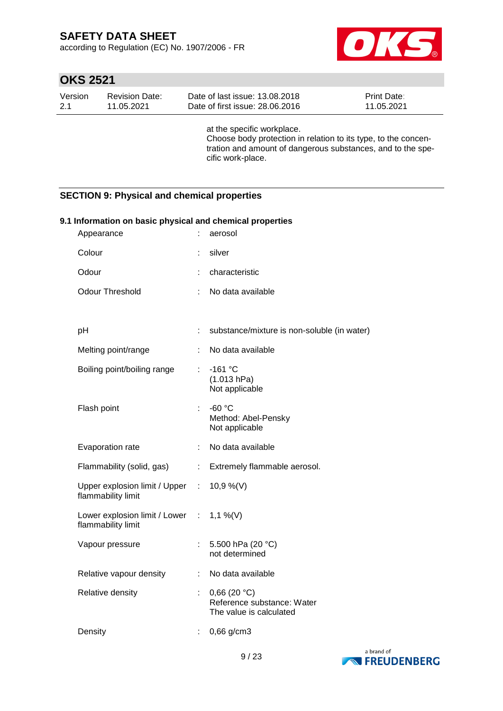according to Regulation (EC) No. 1907/2006 - FR



# **OKS 2521**

| Date of first issue: 28,06,2016<br>$-2.1$<br>11.05.2021<br>11.05.2021 | Version | Revision Date: | Date of last issue: 13.08.2018 | <b>Print Date:</b> |
|-----------------------------------------------------------------------|---------|----------------|--------------------------------|--------------------|
|-----------------------------------------------------------------------|---------|----------------|--------------------------------|--------------------|

at the specific workplace. Choose body protection in relation to its type, to the concentration and amount of dangerous substances, and to the specific work-place.

### **SECTION 9: Physical and chemical properties**

| 9.1 Information on basic physical and chemical properties |                           |                                                                      |  |  |  |
|-----------------------------------------------------------|---------------------------|----------------------------------------------------------------------|--|--|--|
| Appearance                                                | t.                        | aerosol                                                              |  |  |  |
| Colour                                                    | ÷                         | silver                                                               |  |  |  |
| Odour                                                     | t.                        | characteristic                                                       |  |  |  |
| Odour Threshold                                           | ÷.                        | No data available                                                    |  |  |  |
|                                                           |                           |                                                                      |  |  |  |
| pH                                                        | ÷.                        | substance/mixture is non-soluble (in water)                          |  |  |  |
| Melting point/range                                       |                           | No data available                                                    |  |  |  |
| Boiling point/boiling range                               | t.                        | $-161 °C$<br>(1.013 hPa)<br>Not applicable                           |  |  |  |
| Flash point                                               |                           | $-60 °C$<br>Method: Abel-Pensky<br>Not applicable                    |  |  |  |
| Evaporation rate                                          | t.                        | No data available                                                    |  |  |  |
| Flammability (solid, gas)                                 | $\mathbb{R}^{\mathbb{Z}}$ | Extremely flammable aerosol.                                         |  |  |  |
| Upper explosion limit / Upper :<br>flammability limit     |                           | 10,9 %(V)                                                            |  |  |  |
| Lower explosion limit / Lower :<br>flammability limit     |                           | 1,1 %(V)                                                             |  |  |  |
| Vapour pressure                                           |                           | 5.500 hPa (20 °C)<br>not determined                                  |  |  |  |
| Relative vapour density                                   | t.                        | No data available                                                    |  |  |  |
| Relative density                                          | t.                        | 0,66(20 °C)<br>Reference substance: Water<br>The value is calculated |  |  |  |
| Density                                                   |                           | 0,66 g/cm3                                                           |  |  |  |

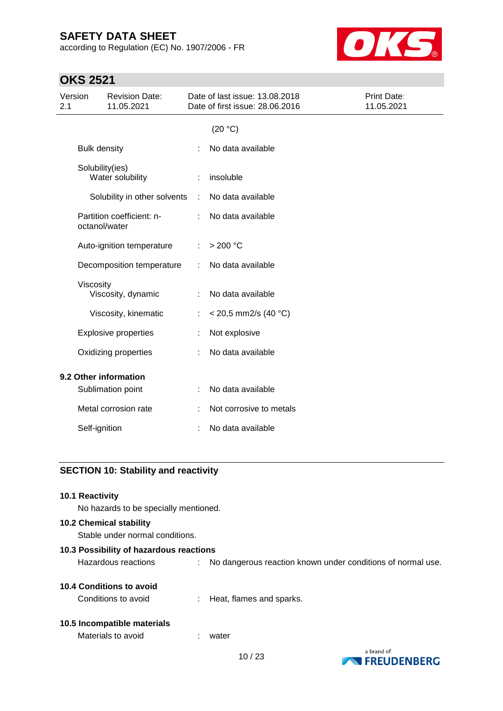according to Regulation (EC) No. 1907/2006 - FR



# **OKS 2521**

| Version<br>2.1 |                     | <b>Revision Date:</b><br>11.05.2021 |   | Date of last issue: 13.08.2018<br>Date of first issue: 28.06.2016 | Print Date:<br>11.05.2021 |
|----------------|---------------------|-------------------------------------|---|-------------------------------------------------------------------|---------------------------|
|                |                     |                                     |   | (20 °C)                                                           |                           |
|                | <b>Bulk density</b> |                                     |   | No data available                                                 |                           |
|                | Solubility(ies)     | Water solubility                    |   | insoluble                                                         |                           |
|                |                     | Solubility in other solvents        | ÷ | No data available                                                 |                           |
|                | octanol/water       | Partition coefficient: n-           |   | No data available                                                 |                           |
|                |                     | Auto-ignition temperature           | ÷ | >200 °C                                                           |                           |
|                |                     | Decomposition temperature           | ÷ | No data available                                                 |                           |
|                | Viscosity           | Viscosity, dynamic                  |   | No data available                                                 |                           |
|                |                     | Viscosity, kinematic                |   | $<$ 20,5 mm2/s (40 °C)                                            |                           |
|                |                     | <b>Explosive properties</b>         |   | Not explosive                                                     |                           |
|                |                     | Oxidizing properties                |   | No data available                                                 |                           |
|                |                     | 9.2 Other information               |   |                                                                   |                           |
|                |                     | Sublimation point                   |   | No data available                                                 |                           |
|                |                     | Metal corrosion rate                |   | Not corrosive to metals                                           |                           |
|                | Self-ignition       |                                     |   | No data available                                                 |                           |
|                |                     |                                     |   |                                                                   |                           |

### **SECTION 10: Stability and reactivity**

| <b>10.1 Reactivity</b><br>No hazards to be specially mentioned.   |    |                                                             |
|-------------------------------------------------------------------|----|-------------------------------------------------------------|
| <b>10.2 Chemical stability</b><br>Stable under normal conditions. |    |                                                             |
| 10.3 Possibility of hazardous reactions                           |    |                                                             |
| Hazardous reactions                                               | ÷. | No dangerous reaction known under conditions of normal use. |
| 10.4 Conditions to avoid                                          |    |                                                             |
| Conditions to avoid                                               |    | $\therefore$ Heat, flames and sparks.                       |
| 10.5 Incompatible materials                                       |    |                                                             |
| Materials to avoid                                                |    | water                                                       |
|                                                                   |    | a hrand of                                                  |

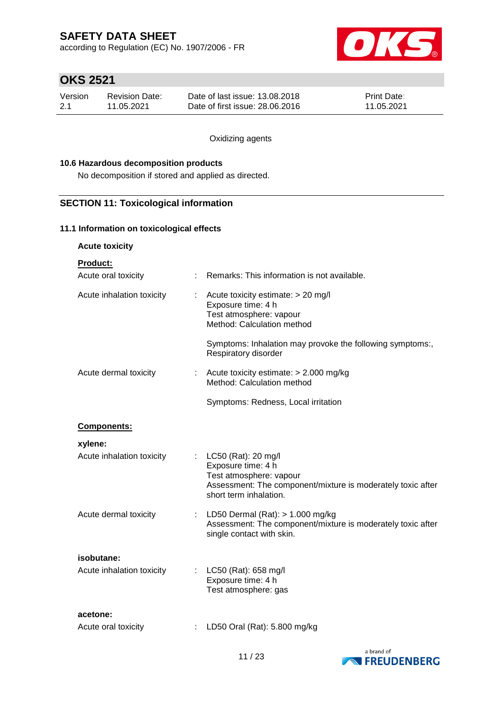according to Regulation (EC) No. 1907/2006 - FR



### **OKS 2521**

| Version | Revision Date: | Date of last issue: 13.08.2018  | <b>Print Date:</b> |
|---------|----------------|---------------------------------|--------------------|
| 2.1     | 11.05.2021     | Date of first issue: 28,06,2016 | 11.05.2021         |

Oxidizing agents

#### **10.6 Hazardous decomposition products**

No decomposition if stored and applied as directed.

### **SECTION 11: Toxicological information**

#### **11.1 Information on toxicological effects**

**Acute toxicity**

**Product:**

| Acute oral toxicity       |   | Remarks: This information is not available.                                                                                                                   |
|---------------------------|---|---------------------------------------------------------------------------------------------------------------------------------------------------------------|
| Acute inhalation toxicity |   | Acute toxicity estimate: > 20 mg/l<br>Exposure time: 4 h<br>Test atmosphere: vapour<br>Method: Calculation method                                             |
|                           |   | Symptoms: Inhalation may provoke the following symptoms:,<br>Respiratory disorder                                                                             |
| Acute dermal toxicity     |   | Acute toxicity estimate: $> 2.000$ mg/kg<br>Method: Calculation method                                                                                        |
|                           |   | Symptoms: Redness, Local irritation                                                                                                                           |
| Components:               |   |                                                                                                                                                               |
| xylene:                   |   |                                                                                                                                                               |
| Acute inhalation toxicity |   | LC50 (Rat): 20 mg/l<br>Exposure time: 4 h<br>Test atmosphere: vapour<br>Assessment: The component/mixture is moderately toxic after<br>short term inhalation. |
| Acute dermal toxicity     | t | LD50 Dermal $(Rat):$ > 1.000 mg/kg<br>Assessment: The component/mixture is moderately toxic after<br>single contact with skin.                                |
| isobutane:                |   |                                                                                                                                                               |
| Acute inhalation toxicity |   | LC50 (Rat): 658 mg/l<br>Exposure time: 4 h<br>Test atmosphere: gas                                                                                            |
| acetone:                  |   |                                                                                                                                                               |
| Acute oral toxicity       |   | LD50 Oral (Rat): 5.800 mg/kg                                                                                                                                  |

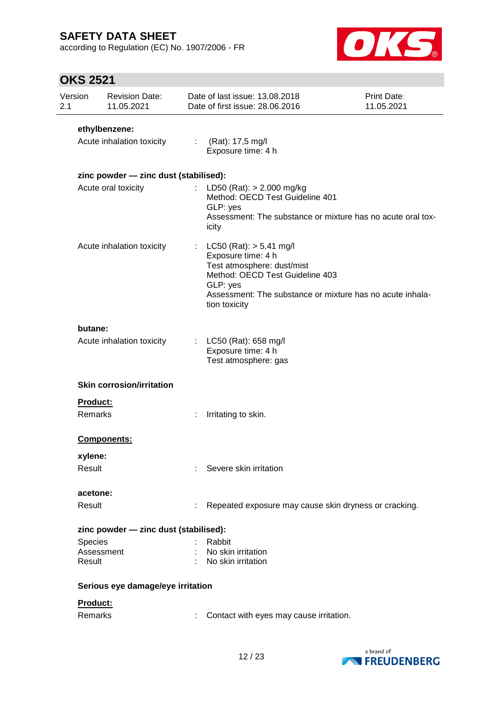according to Regulation (EC) No. 1907/2006 - FR



# **OKS 2521**

| Version<br>2.1 | <b>Revision Date:</b><br>11.05.2021   |                       | Date of last issue: 13.08.2018<br>Date of first issue: 28.06.2016                                                                                                                                            | Print Date:<br>11.05.2021 |
|----------------|---------------------------------------|-----------------------|--------------------------------------------------------------------------------------------------------------------------------------------------------------------------------------------------------------|---------------------------|
|                | ethylbenzene:                         |                       |                                                                                                                                                                                                              |                           |
|                | Acute inhalation toxicity             |                       | : $(Rat): 17,5 mg/l$<br>Exposure time: 4 h                                                                                                                                                                   |                           |
|                | zinc powder - zinc dust (stabilised): |                       |                                                                                                                                                                                                              |                           |
|                | Acute oral toxicity                   |                       | LD50 (Rat): $> 2.000$ mg/kg<br>Method: OECD Test Guideline 401<br>GLP: yes<br>Assessment: The substance or mixture has no acute oral tox-<br>icity                                                           |                           |
|                | Acute inhalation toxicity             | $\mathbb{Z}^{\times}$ | $LC50$ (Rat): $> 5,41$ mg/l<br>Exposure time: 4 h<br>Test atmosphere: dust/mist<br>Method: OECD Test Guideline 403<br>GLP: yes<br>Assessment: The substance or mixture has no acute inhala-<br>tion toxicity |                           |
| butane:        | Acute inhalation toxicity             |                       | : $LC50$ (Rat): 658 mg/l<br>Exposure time: 4 h<br>Test atmosphere: gas                                                                                                                                       |                           |
|                | <b>Skin corrosion/irritation</b>      |                       |                                                                                                                                                                                                              |                           |
|                | <b>Product:</b>                       |                       |                                                                                                                                                                                                              |                           |
|                | Remarks                               | ÷                     | Irritating to skin.                                                                                                                                                                                          |                           |
|                | Components:                           |                       |                                                                                                                                                                                                              |                           |
| xylene:        |                                       |                       |                                                                                                                                                                                                              |                           |
| Result         |                                       |                       | Severe skin irritation                                                                                                                                                                                       |                           |
|                | acetone:                              |                       |                                                                                                                                                                                                              |                           |
| Result         |                                       |                       | Repeated exposure may cause skin dryness or cracking.                                                                                                                                                        |                           |
|                | zinc powder - zinc dust (stabilised): |                       |                                                                                                                                                                                                              |                           |
| Species        |                                       |                       | Rabbit                                                                                                                                                                                                       |                           |
| Result         | Assessment                            |                       | No skin irritation<br>No skin irritation                                                                                                                                                                     |                           |
|                | Serious eye damage/eye irritation     |                       |                                                                                                                                                                                                              |                           |
|                | Product:                              |                       |                                                                                                                                                                                                              |                           |
|                | Remarks                               |                       | Contact with eyes may cause irritation.                                                                                                                                                                      |                           |

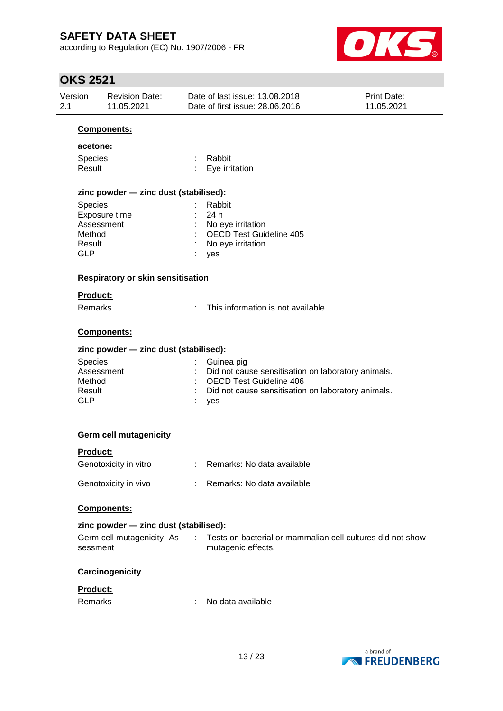according to Regulation (EC) No. 1907/2006 - FR



# **OKS 2521**

|                | UNJ LJL I            |                                       |    |                                                                                      |                           |  |
|----------------|----------------------|---------------------------------------|----|--------------------------------------------------------------------------------------|---------------------------|--|
| Version<br>2.1 |                      | <b>Revision Date:</b><br>11.05.2021   |    | Date of last issue: 13.08.2018<br>Date of first issue: 28.06.2016                    | Print Date:<br>11.05.2021 |  |
|                |                      | <b>Components:</b>                    |    |                                                                                      |                           |  |
|                | acetone:             |                                       |    |                                                                                      |                           |  |
|                | Species              |                                       |    | Rabbit                                                                               |                           |  |
|                | Result               |                                       |    | Eye irritation                                                                       |                           |  |
|                |                      |                                       |    |                                                                                      |                           |  |
|                | Species              | zinc powder - zinc dust (stabilised): |    | Rabbit                                                                               |                           |  |
|                |                      | Exposure time                         |    | 24 h                                                                                 |                           |  |
|                | Assessment           |                                       |    | No eye irritation                                                                    |                           |  |
|                | Method               |                                       |    | <b>OECD Test Guideline 405</b>                                                       |                           |  |
|                | Result               |                                       |    | No eye irritation                                                                    |                           |  |
|                | <b>GLP</b>           |                                       |    | yes                                                                                  |                           |  |
|                |                      | Respiratory or skin sensitisation     |    |                                                                                      |                           |  |
|                | Product:             |                                       |    |                                                                                      |                           |  |
|                | <b>Remarks</b>       |                                       |    | This information is not available.                                                   |                           |  |
|                |                      | Components:                           |    |                                                                                      |                           |  |
|                |                      | zinc powder - zinc dust (stabilised): |    |                                                                                      |                           |  |
|                | Species              |                                       |    | Guinea pig                                                                           |                           |  |
|                | Assessment<br>Method |                                       |    | Did not cause sensitisation on laboratory animals.<br><b>OECD Test Guideline 406</b> |                           |  |
|                | Result               |                                       |    | Did not cause sensitisation on laboratory animals.                                   |                           |  |
|                | <b>GLP</b>           |                                       |    | yes                                                                                  |                           |  |
|                |                      |                                       |    |                                                                                      |                           |  |
|                |                      | <b>Germ cell mutagenicity</b>         |    |                                                                                      |                           |  |
|                | Product:             |                                       |    |                                                                                      |                           |  |
|                |                      | Genotoxicity in vitro                 |    | Remarks: No data available                                                           |                           |  |
|                |                      | Genotoxicity in vivo                  | ÷. | Remarks: No data available                                                           |                           |  |
|                |                      | Components:                           |    |                                                                                      |                           |  |
|                |                      | zinc powder - zinc dust (stabilised): |    |                                                                                      |                           |  |
|                | sessment             | Germ cell mutagenicity-As-            | ÷  | Tests on bacterial or mammalian cell cultures did not show<br>mutagenic effects.     |                           |  |
|                |                      | Carcinogenicity                       |    |                                                                                      |                           |  |
|                | Product:             |                                       |    |                                                                                      |                           |  |
|                | Remarks              |                                       |    | No data available                                                                    |                           |  |
|                |                      |                                       |    |                                                                                      |                           |  |

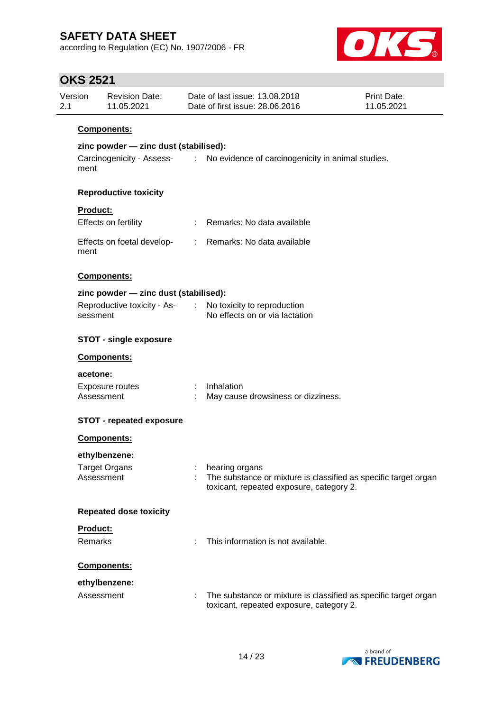according to Regulation (EC) No. 1907/2006 - FR



### **OKS 2521**

| Date of last issue: 13.08.2018<br>Version<br><b>Print Date:</b><br><b>Revision Date:</b><br>Date of first issue: 28,06,2016<br>11.05.2021<br>2.1<br>11.05.2021 |
|----------------------------------------------------------------------------------------------------------------------------------------------------------------|
|----------------------------------------------------------------------------------------------------------------------------------------------------------------|

#### **Components:**

### **zinc powder — zinc dust (stabilised):**

Carcinogenicity - Assess-: No evidence of carcinogenicity in animal studies. ment

#### **Reproductive toxicity**

### **Product:**

| Effects on fertility               | Remarks: No data available |
|------------------------------------|----------------------------|
| Effects on foetal develop-<br>ment | Remarks: No data available |

#### **Components:**

| zinc powder - zinc dust (stabilised): |  |                                |  |  |  |
|---------------------------------------|--|--------------------------------|--|--|--|
| Reproductive toxicity - As-           |  | No toxicity to reproduction    |  |  |  |
| sessment                              |  | No effects on or via lactation |  |  |  |

#### **STOT - single exposure**

#### **Components:**

#### **acetone:**

| Exposure routes | : Inhalation                       |
|-----------------|------------------------------------|
| Assessment      | May cause drowsiness or dizziness. |

### **STOT - repeated exposure**

| <b>Components:</b>            |                                                                                                                               |
|-------------------------------|-------------------------------------------------------------------------------------------------------------------------------|
| ethylbenzene:                 |                                                                                                                               |
| Target Organs<br>Assessment   | hearing organs<br>The substance or mixture is classified as specific target organ<br>toxicant, repeated exposure, category 2. |
| <b>Repeated dose toxicity</b> |                                                                                                                               |
| <b>Product:</b>               |                                                                                                                               |
| <b>Remarks</b>                | : This information is not available.                                                                                          |
| <b>Components:</b>            |                                                                                                                               |
| ethylbenzene:                 |                                                                                                                               |
| Accoccmont                    | The cubetance or mixture is closeified as specific target ergan                                                               |



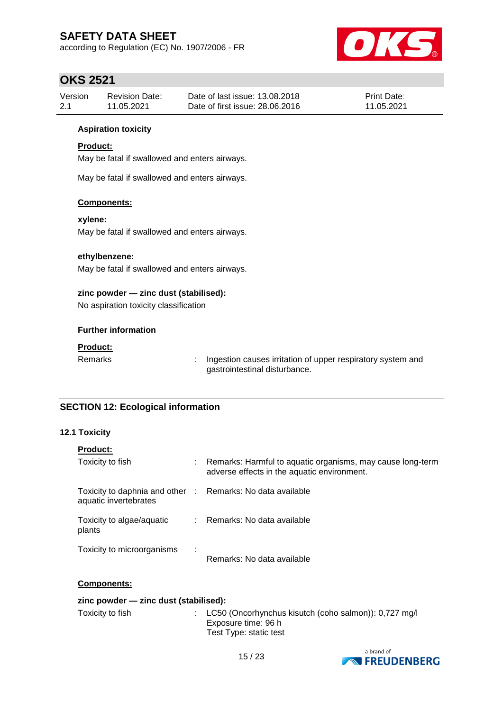according to Regulation (EC) No. 1907/2006 - FR



### **OKS 2521**

| Version | Revision Date: | Date of last issue: 13.08.2018  | <b>Print Date:</b> |
|---------|----------------|---------------------------------|--------------------|
| 2.1     | 11.05.2021     | Date of first issue: 28,06,2016 | 11.05.2021         |

#### **Aspiration toxicity**

#### **Product:**

May be fatal if swallowed and enters airways.

May be fatal if swallowed and enters airways.

#### **Components:**

**xylene:**

May be fatal if swallowed and enters airways.

#### **ethylbenzene:**

May be fatal if swallowed and enters airways.

#### **zinc powder — zinc dust (stabilised):**

No aspiration toxicity classification

#### **Further information**

#### **Product:**

Remarks : Ingestion causes irritation of upper respiratory system and gastrointestinal disturbance.

### **SECTION 12: Ecological information**

#### **12.1 Toxicity**

| <b>Product:</b>                                                                     |   |                                                                                                           |
|-------------------------------------------------------------------------------------|---|-----------------------------------------------------------------------------------------------------------|
| Toxicity to fish                                                                    | ÷ | Remarks: Harmful to aquatic organisms, may cause long-term<br>adverse effects in the aquatic environment. |
| Toxicity to daphnia and other : Remarks: No data available<br>aquatic invertebrates |   |                                                                                                           |
| Toxicity to algae/aquatic<br>plants                                                 |   | Remarks: No data available                                                                                |
| Toxicity to microorganisms                                                          |   | Remarks: No data available                                                                                |

#### **Components:**

| zinc powder $\equiv$ zinc dust (stabilised): |  |                                                                                                                   |  |  |  |
|----------------------------------------------|--|-------------------------------------------------------------------------------------------------------------------|--|--|--|
| Toxicity to fish                             |  | : LC50 (Oncorhynchus kisutch (coho salmon): $0.727 \text{ mg/l}$<br>Exposure time: 96 h<br>Test Type: static test |  |  |  |

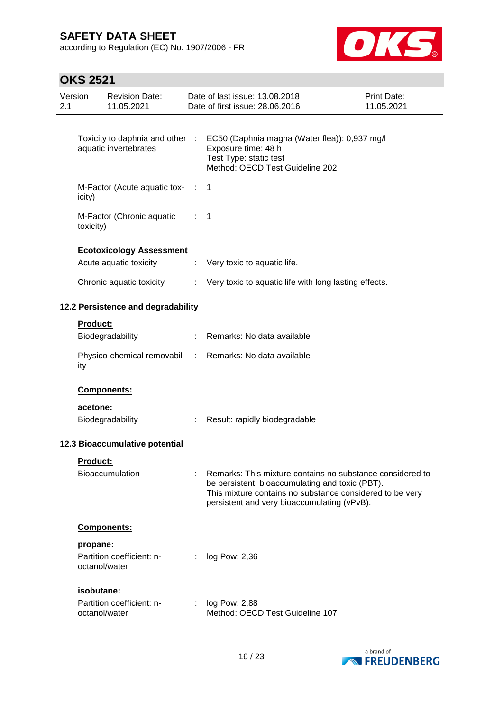according to Regulation (EC) No. 1907/2006 - FR



# **OKS 2521**

| Version<br>2.1 |                 | <b>Revision Date:</b><br>11.05.2021                      |                   | Date of last issue: 13.08.2018<br>Date of first issue: 28.06.2016                                                                                                                                                       | <b>Print Date:</b><br>11.05.2021 |
|----------------|-----------------|----------------------------------------------------------|-------------------|-------------------------------------------------------------------------------------------------------------------------------------------------------------------------------------------------------------------------|----------------------------------|
|                |                 | Toxicity to daphnia and other :<br>aquatic invertebrates |                   | EC50 (Daphnia magna (Water flea)): 0,937 mg/l<br>Exposure time: 48 h<br>Test Type: static test<br>Method: OECD Test Guideline 202                                                                                       |                                  |
|                | icity)          | M-Factor (Acute aquatic tox- :                           |                   | $\mathbf 1$                                                                                                                                                                                                             |                                  |
|                | toxicity)       | M-Factor (Chronic aquatic                                | $\sim$ 1 $\sim$ 1 |                                                                                                                                                                                                                         |                                  |
|                |                 | <b>Ecotoxicology Assessment</b>                          |                   |                                                                                                                                                                                                                         |                                  |
|                |                 | Acute aquatic toxicity                                   | ÷.                | Very toxic to aquatic life.                                                                                                                                                                                             |                                  |
|                |                 | Chronic aquatic toxicity                                 | ÷.                | Very toxic to aquatic life with long lasting effects.                                                                                                                                                                   |                                  |
|                |                 | 12.2 Persistence and degradability                       |                   |                                                                                                                                                                                                                         |                                  |
|                | Product:        |                                                          |                   |                                                                                                                                                                                                                         |                                  |
|                |                 | Biodegradability                                         |                   | : Remarks: No data available                                                                                                                                                                                            |                                  |
|                | ity             |                                                          |                   | Physico-chemical removabil- : Remarks: No data available                                                                                                                                                                |                                  |
|                |                 | Components:                                              |                   |                                                                                                                                                                                                                         |                                  |
|                | acetone:        |                                                          |                   |                                                                                                                                                                                                                         |                                  |
|                |                 | Biodegradability                                         | $\mathbb{Z}^n$    | Result: rapidly biodegradable                                                                                                                                                                                           |                                  |
|                |                 | 12.3 Bioaccumulative potential                           |                   |                                                                                                                                                                                                                         |                                  |
|                | <b>Product:</b> |                                                          |                   |                                                                                                                                                                                                                         |                                  |
|                |                 | Bioaccumulation                                          |                   | Remarks: This mixture contains no substance considered to<br>be persistent, bioaccumulating and toxic (PBT).<br>This mixture contains no substance considered to be very<br>persistent and very bioaccumulating (vPvB). |                                  |
|                |                 | Components:                                              |                   |                                                                                                                                                                                                                         |                                  |
|                | propane:        | Partition coefficient: n-<br>octanol/water               |                   | log Pow: 2,36                                                                                                                                                                                                           |                                  |
|                |                 | isobutane:                                               |                   |                                                                                                                                                                                                                         |                                  |
|                |                 | Partition coefficient: n-<br>octanol/water               |                   | log Pow: 2,88<br>Method: OECD Test Guideline 107                                                                                                                                                                        |                                  |

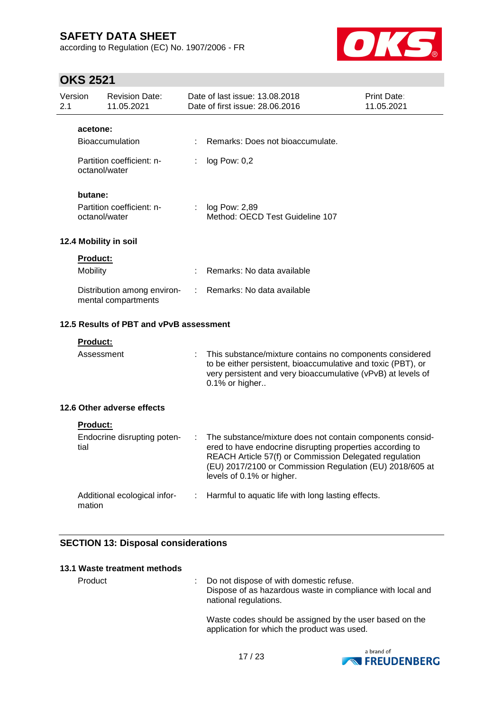according to Regulation (EC) No. 1907/2006 - FR



### **OKS 2521**

| Version<br>2.1 |                 | <b>Revision Date:</b><br>11.05.2021                |   | Date of last issue: 13.08.2018<br>Date of first issue: 28.06.2016                                                                                                                                                                                                         | Print Date:<br>11.05.2021 |
|----------------|-----------------|----------------------------------------------------|---|---------------------------------------------------------------------------------------------------------------------------------------------------------------------------------------------------------------------------------------------------------------------------|---------------------------|
|                | acetone:        |                                                    |   |                                                                                                                                                                                                                                                                           |                           |
|                |                 | <b>Bioaccumulation</b>                             |   | Remarks: Does not bioaccumulate.                                                                                                                                                                                                                                          |                           |
|                | octanol/water   | Partition coefficient: n-                          | ÷ | log Pow: 0,2                                                                                                                                                                                                                                                              |                           |
|                | butane:         |                                                    |   |                                                                                                                                                                                                                                                                           |                           |
|                | octanol/water   | Partition coefficient: n-                          |   | : $log Pow: 2,89$<br>Method: OECD Test Guideline 107                                                                                                                                                                                                                      |                           |
|                |                 | 12.4 Mobility in soil                              |   |                                                                                                                                                                                                                                                                           |                           |
|                | <b>Product:</b> |                                                    |   |                                                                                                                                                                                                                                                                           |                           |
|                | Mobility        |                                                    | ÷ | Remarks: No data available                                                                                                                                                                                                                                                |                           |
|                |                 | Distribution among environ-<br>mental compartments | ÷ | Remarks: No data available                                                                                                                                                                                                                                                |                           |
|                |                 | 12.5 Results of PBT and vPvB assessment            |   |                                                                                                                                                                                                                                                                           |                           |
|                | <b>Product:</b> |                                                    |   |                                                                                                                                                                                                                                                                           |                           |
|                | Assessment      |                                                    |   | This substance/mixture contains no components considered<br>to be either persistent, bioaccumulative and toxic (PBT), or<br>very persistent and very bioaccumulative (vPvB) at levels of<br>0.1% or higher                                                                |                           |
|                |                 | 12.6 Other adverse effects                         |   |                                                                                                                                                                                                                                                                           |                           |
|                | Product:        |                                                    |   |                                                                                                                                                                                                                                                                           |                           |
|                | tial            | Endocrine disrupting poten-                        |   | The substance/mixture does not contain components consid-<br>ered to have endocrine disrupting properties according to<br>REACH Article 57(f) or Commission Delegated regulation<br>(EU) 2017/2100 or Commission Regulation (EU) 2018/605 at<br>levels of 0.1% or higher. |                           |
|                | mation          | Additional ecological infor-                       | ÷ | Harmful to aquatic life with long lasting effects.                                                                                                                                                                                                                        |                           |

### **SECTION 13: Disposal considerations**

### **13.1 Waste treatment methods**

Product : Do not dispose of with domestic refuse. Dispose of as hazardous waste in compliance with local and national regulations.

> Waste codes should be assigned by the user based on the application for which the product was used.

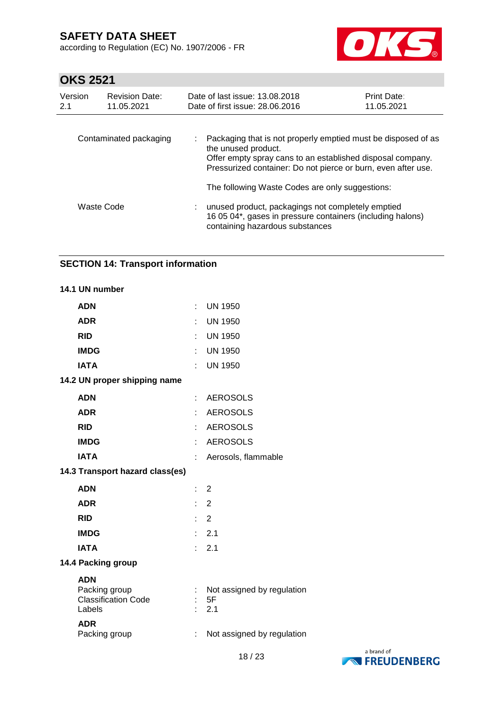according to Regulation (EC) No. 1907/2006 - FR



# **OKS 2521**

| Version<br>2.1 | <b>Revision Date:</b><br>11.05.2021 | Date of last issue: 13.08.2018<br>Date of first issue: 28,06,2016                                                                                                                                                   | <b>Print Date:</b><br>11.05.2021 |
|----------------|-------------------------------------|---------------------------------------------------------------------------------------------------------------------------------------------------------------------------------------------------------------------|----------------------------------|
|                | Contaminated packaging              | Packaging that is not properly emptied must be disposed of as<br>the unused product.<br>Offer empty spray cans to an established disposal company.<br>Pressurized container: Do not pierce or burn, even after use. |                                  |
|                |                                     | The following Waste Codes are only suggestions:                                                                                                                                                                     |                                  |
|                | Waste Code                          | unused product, packagings not completely emptied<br>16 05 04*, gases in pressure containers (including halons)<br>containing hazardous substances                                                                  |                                  |

### **SECTION 14: Transport information**

| 14.1 UN number                                                      |    |                                         |
|---------------------------------------------------------------------|----|-----------------------------------------|
| <b>ADN</b>                                                          | ÷  | <b>UN 1950</b>                          |
| <b>ADR</b>                                                          | ł. | <b>UN 1950</b>                          |
| <b>RID</b>                                                          |    | <b>UN 1950</b>                          |
| <b>IMDG</b>                                                         |    | <b>UN 1950</b>                          |
| <b>IATA</b>                                                         |    | <b>UN 1950</b>                          |
| 14.2 UN proper shipping name                                        |    |                                         |
| <b>ADN</b>                                                          | ÷  | <b>AEROSOLS</b>                         |
| <b>ADR</b>                                                          |    | <b>AEROSOLS</b>                         |
| <b>RID</b>                                                          |    | <b>AEROSOLS</b>                         |
| <b>IMDG</b>                                                         |    | <b>AEROSOLS</b>                         |
| <b>IATA</b>                                                         |    | Aerosols, flammable                     |
| 14.3 Transport hazard class(es)                                     |    |                                         |
| <b>ADN</b>                                                          | ÷. | 2                                       |
| <b>ADR</b>                                                          | ÷. | $\overline{2}$                          |
| <b>RID</b>                                                          |    | $\overline{2}$                          |
| <b>IMDG</b>                                                         |    | 2.1                                     |
| <b>IATA</b>                                                         | ۰  | 2.1                                     |
| 14.4 Packing group                                                  |    |                                         |
| <b>ADN</b><br>Packing group<br><b>Classification Code</b><br>Labels |    | Not assigned by regulation<br>5F<br>2.1 |
| <b>ADR</b><br>Packing group                                         | t  | Not assigned by regulation              |

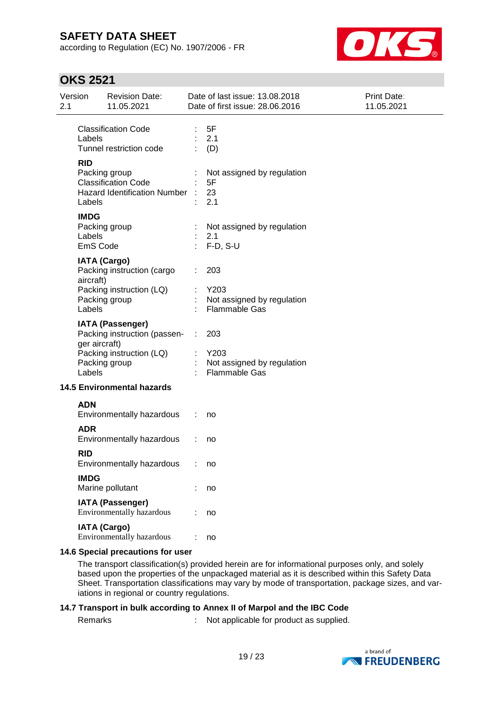according to Regulation (EC) No. 1907/2006 - FR



### **OKS 2521**

| 2.1 | Version                           | <b>Revision Date:</b><br>11.05.2021                                                                  |          | Date of last issue: 13.08.2018<br>Date of first issue: 28.06.2016 | <b>Print Date:</b><br>11.05.2021 |
|-----|-----------------------------------|------------------------------------------------------------------------------------------------------|----------|-------------------------------------------------------------------|----------------------------------|
|     | Labels                            | <b>Classification Code</b><br>Tunnel restriction code                                                |          | 5F<br>2.1<br>(D)                                                  |                                  |
|     | <b>RID</b><br>Labels              | Packing group<br><b>Classification Code</b><br><b>Hazard Identification Number</b>                   |          | Not assigned by regulation<br>5F<br>23<br>2.1                     |                                  |
|     | <b>IMDG</b><br>Labels<br>EmS Code | Packing group                                                                                        |          | Not assigned by regulation<br>2.1<br>$F-D, S-U$                   |                                  |
|     | aircraft)<br>Labels               | <b>IATA (Cargo)</b><br>Packing instruction (cargo<br>Packing instruction (LQ)<br>Packing group       |          | 203<br>Y203<br>Not assigned by regulation<br><b>Flammable Gas</b> |                                  |
|     | ger aircraft)<br>Labels           | <b>IATA (Passenger)</b><br>Packing instruction (passen-<br>Packing instruction (LQ)<br>Packing group | $\sim 1$ | 203<br>Y203<br>Not assigned by regulation<br><b>Flammable Gas</b> |                                  |
|     |                                   | <b>14.5 Environmental hazards</b>                                                                    |          |                                                                   |                                  |
|     | <b>ADN</b>                        | Environmentally hazardous                                                                            |          | no                                                                |                                  |
|     | <b>ADR</b>                        | Environmentally hazardous                                                                            |          | no                                                                |                                  |
|     | <b>RID</b>                        | Environmentally hazardous                                                                            |          | no                                                                |                                  |
|     | <b>IMDG</b>                       | Marine pollutant                                                                                     |          | no                                                                |                                  |
|     |                                   | <b>IATA (Passenger)</b><br>Environmentally hazardous                                                 |          | no                                                                |                                  |
|     |                                   | <b>IATA (Cargo)</b><br>Environmentally hazardous                                                     |          | no                                                                |                                  |
|     |                                   |                                                                                                      |          |                                                                   |                                  |

#### **14.6 Special precautions for user**

The transport classification(s) provided herein are for informational purposes only, and solely based upon the properties of the unpackaged material as it is described within this Safety Data Sheet. Transportation classifications may vary by mode of transportation, package sizes, and variations in regional or country regulations.

#### **14.7 Transport in bulk according to Annex II of Marpol and the IBC Code**

Remarks : Not applicable for product as supplied.

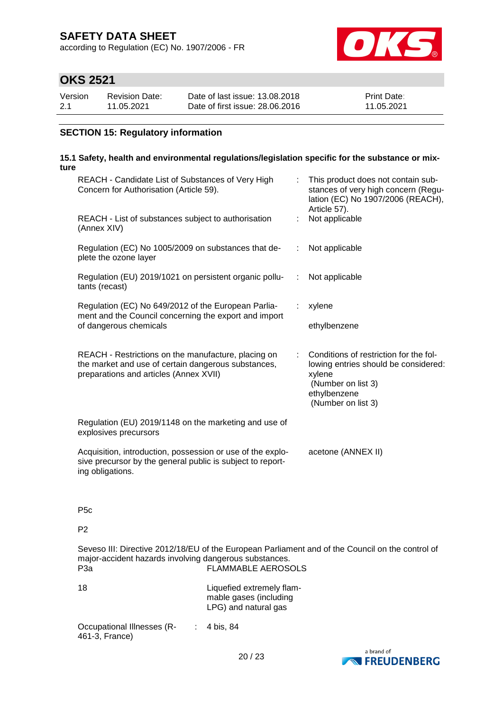according to Regulation (EC) No. 1907/2006 - FR



### **OKS 2521**

| Version | Revision Date: | Date of last issue: 13.08.2018  | <b>Print Date:</b> |
|---------|----------------|---------------------------------|--------------------|
| 2.1     | 11.05.2021     | Date of first issue: 28,06,2016 | 11.05.2021         |

### **SECTION 15: Regulatory information**

#### **15.1 Safety, health and environmental regulations/legislation specific for the substance or mixture**

| REACH - Candidate List of Substances of Very High<br>Concern for Authorisation (Article 59).                                                         |    | This product does not contain sub-<br>stances of very high concern (Regu-<br>lation (EC) No 1907/2006 (REACH),                                       |
|------------------------------------------------------------------------------------------------------------------------------------------------------|----|------------------------------------------------------------------------------------------------------------------------------------------------------|
| REACH - List of substances subject to authorisation<br>(Annex XIV)                                                                                   | ÷. | Article 57).<br>Not applicable                                                                                                                       |
| Regulation (EC) No 1005/2009 on substances that de-<br>plete the ozone layer                                                                         |    | Not applicable                                                                                                                                       |
| Regulation (EU) 2019/1021 on persistent organic pollu-<br>tants (recast)                                                                             | ÷  | Not applicable                                                                                                                                       |
| Regulation (EC) No 649/2012 of the European Parlia-<br>ment and the Council concerning the export and import                                         |    | xylene                                                                                                                                               |
| of dangerous chemicals                                                                                                                               |    | ethylbenzene                                                                                                                                         |
| REACH - Restrictions on the manufacture, placing on<br>the market and use of certain dangerous substances,<br>preparations and articles (Annex XVII) |    | Conditions of restriction for the fol-<br>lowing entries should be considered:<br>xylene<br>(Number on list 3)<br>ethylbenzene<br>(Number on list 3) |
| Regulation (EU) 2019/1148 on the marketing and use of<br>explosives precursors                                                                       |    |                                                                                                                                                      |
| Acquisition, introduction, possession or use of the explo-<br>sive precursor by the general public is subject to report-<br>ing obligations.         |    | acetone (ANNEX II)                                                                                                                                   |

P5c

P2

Seveso III: Directive 2012/18/EU of the European Parliament and of the Council on the control of major-accident hazards involving dangerous substances. FLAMMABLE AEROSOLS

| 18 | Liquefied extremely flam-<br>mable gases (including<br>LPG) and natural gas |
|----|-----------------------------------------------------------------------------|
|    |                                                                             |

Occupational Illnesses (R- : 4 bis, 84 461-3, France)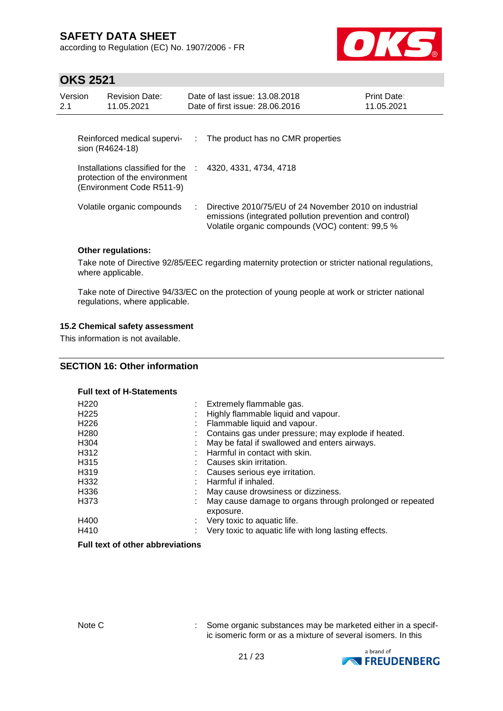according to Regulation (EC) No. 1907/2006 - FR



### **OKS 2521**

| Version<br>2.1 | <b>Revision Date:</b><br>11.05.2021                                                            | Date of last issue: 13.08.2018<br>Date of first issue: 28.06.2016                                                                                                     | Print Date:<br>11.05.2021 |
|----------------|------------------------------------------------------------------------------------------------|-----------------------------------------------------------------------------------------------------------------------------------------------------------------------|---------------------------|
|                | Reinforced medical supervi-<br>sion (R4624-18)                                                 | $\therefore$ The product has no CMR properties                                                                                                                        |                           |
|                | Installations classified for the<br>protection of the environment<br>(Environment Code R511-9) | 4320, 4331, 4734, 4718                                                                                                                                                |                           |
|                | Volatile organic compounds                                                                     | Directive 2010/75/EU of 24 November 2010 on industrial<br>emissions (integrated pollution prevention and control)<br>Volatile organic compounds (VOC) content: 99,5 % |                           |

#### **Other regulations:**

Take note of Directive 92/85/EEC regarding maternity protection or stricter national regulations, where applicable.

Take note of Directive 94/33/EC on the protection of young people at work or stricter national regulations, where applicable.

#### **15.2 Chemical safety assessment**

This information is not available.

#### **SECTION 16: Other information**

#### **Full text of H-Statements**

| Extremely flammable gas.<br>Highly flammable liquid and vapour.<br>Flammable liquid and vapour.<br>Contains gas under pressure; may explode if heated.<br>÷.<br>May be fatal if swallowed and enters airways.<br>Harmful in contact with skin.<br>Causes skin irritation.<br>Causes serious eye irritation.<br>Harmful if inhaled.<br>May cause drowsiness or dizziness.<br>May cause damage to organs through prolonged or repeated |
|--------------------------------------------------------------------------------------------------------------------------------------------------------------------------------------------------------------------------------------------------------------------------------------------------------------------------------------------------------------------------------------------------------------------------------------|
| exposure.<br>Very toxic to aquatic life.<br>٠<br>Very toxic to aquatic life with long lasting effects.                                                                                                                                                                                                                                                                                                                               |
|                                                                                                                                                                                                                                                                                                                                                                                                                                      |

#### **Full text of other abbreviations**

Note C : Some organic substances may be marketed either in a specific isomeric form or as a mixture of several isomers. In this

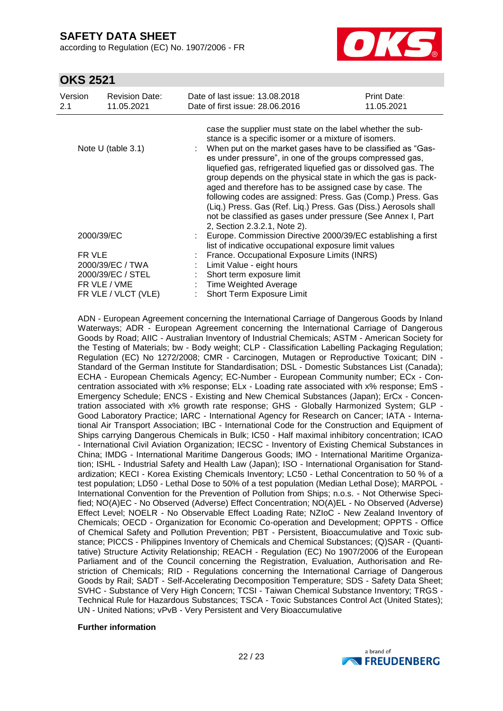according to Regulation (EC) No. 1907/2006 - FR



### **OKS 2521**

| Version<br>2.1 | <b>Revision Date:</b><br>11.05.2021 | Date of last issue: 13.08.2018<br>Date of first issue: 28,06,2016                                                                                                                                                                                                                                                                                                                                                                                                                                                                                                                                                                                                              | Print Date:<br>11.05.2021 |
|----------------|-------------------------------------|--------------------------------------------------------------------------------------------------------------------------------------------------------------------------------------------------------------------------------------------------------------------------------------------------------------------------------------------------------------------------------------------------------------------------------------------------------------------------------------------------------------------------------------------------------------------------------------------------------------------------------------------------------------------------------|---------------------------|
|                | Note $U$ (table 3.1)                | case the supplier must state on the label whether the sub-<br>stance is a specific isomer or a mixture of isomers.<br>When put on the market gases have to be classified as "Gas-<br>es under pressure", in one of the groups compressed gas,<br>liquefied gas, refrigerated liquefied gas or dissolved gas. The<br>group depends on the physical state in which the gas is pack-<br>aged and therefore has to be assigned case by case. The<br>following codes are assigned: Press. Gas (Comp.) Press. Gas<br>(Liq.) Press. Gas (Ref. Liq.) Press. Gas (Diss.) Aerosols shall<br>not be classified as gases under pressure (See Annex I, Part<br>2, Section 2.3.2.1, Note 2). |                           |
| 2000/39/EC     |                                     | : Europe. Commission Directive 2000/39/EC establishing a first<br>list of indicative occupational exposure limit values                                                                                                                                                                                                                                                                                                                                                                                                                                                                                                                                                        |                           |
| FR VLE         |                                     | France. Occupational Exposure Limits (INRS)                                                                                                                                                                                                                                                                                                                                                                                                                                                                                                                                                                                                                                    |                           |
|                | 2000/39/EC / TWA                    | Limit Value - eight hours                                                                                                                                                                                                                                                                                                                                                                                                                                                                                                                                                                                                                                                      |                           |
|                | 2000/39/EC / STEL                   | Short term exposure limit                                                                                                                                                                                                                                                                                                                                                                                                                                                                                                                                                                                                                                                      |                           |
|                | FR VLE / VME                        | : Time Weighted Average                                                                                                                                                                                                                                                                                                                                                                                                                                                                                                                                                                                                                                                        |                           |
|                | FR VLE / VLCT (VLE)                 | Short Term Exposure Limit                                                                                                                                                                                                                                                                                                                                                                                                                                                                                                                                                                                                                                                      |                           |

ADN - European Agreement concerning the International Carriage of Dangerous Goods by Inland Waterways; ADR - European Agreement concerning the International Carriage of Dangerous Goods by Road; AIIC - Australian Inventory of Industrial Chemicals; ASTM - American Society for the Testing of Materials; bw - Body weight; CLP - Classification Labelling Packaging Regulation; Regulation (EC) No 1272/2008; CMR - Carcinogen, Mutagen or Reproductive Toxicant; DIN - Standard of the German Institute for Standardisation; DSL - Domestic Substances List (Canada); ECHA - European Chemicals Agency; EC-Number - European Community number; ECx - Concentration associated with x% response; ELx - Loading rate associated with x% response; EmS - Emergency Schedule; ENCS - Existing and New Chemical Substances (Japan); ErCx - Concentration associated with x% growth rate response; GHS - Globally Harmonized System; GLP - Good Laboratory Practice; IARC - International Agency for Research on Cancer; IATA - International Air Transport Association; IBC - International Code for the Construction and Equipment of Ships carrying Dangerous Chemicals in Bulk; IC50 - Half maximal inhibitory concentration; ICAO - International Civil Aviation Organization; IECSC - Inventory of Existing Chemical Substances in China; IMDG - International Maritime Dangerous Goods; IMO - International Maritime Organization; ISHL - Industrial Safety and Health Law (Japan); ISO - International Organisation for Standardization; KECI - Korea Existing Chemicals Inventory; LC50 - Lethal Concentration to 50 % of a test population; LD50 - Lethal Dose to 50% of a test population (Median Lethal Dose); MARPOL - International Convention for the Prevention of Pollution from Ships; n.o.s. - Not Otherwise Specified; NO(A)EC - No Observed (Adverse) Effect Concentration; NO(A)EL - No Observed (Adverse) Effect Level; NOELR - No Observable Effect Loading Rate; NZIoC - New Zealand Inventory of Chemicals; OECD - Organization for Economic Co-operation and Development; OPPTS - Office of Chemical Safety and Pollution Prevention; PBT - Persistent, Bioaccumulative and Toxic substance; PICCS - Philippines Inventory of Chemicals and Chemical Substances; (Q)SAR - (Quantitative) Structure Activity Relationship; REACH - Regulation (EC) No 1907/2006 of the European Parliament and of the Council concerning the Registration, Evaluation, Authorisation and Restriction of Chemicals; RID - Regulations concerning the International Carriage of Dangerous Goods by Rail; SADT - Self-Accelerating Decomposition Temperature; SDS - Safety Data Sheet; SVHC - Substance of Very High Concern; TCSI - Taiwan Chemical Substance Inventory; TRGS - Technical Rule for Hazardous Substances; TSCA - Toxic Substances Control Act (United States); UN - United Nations; vPvB - Very Persistent and Very Bioaccumulative

#### **Further information**